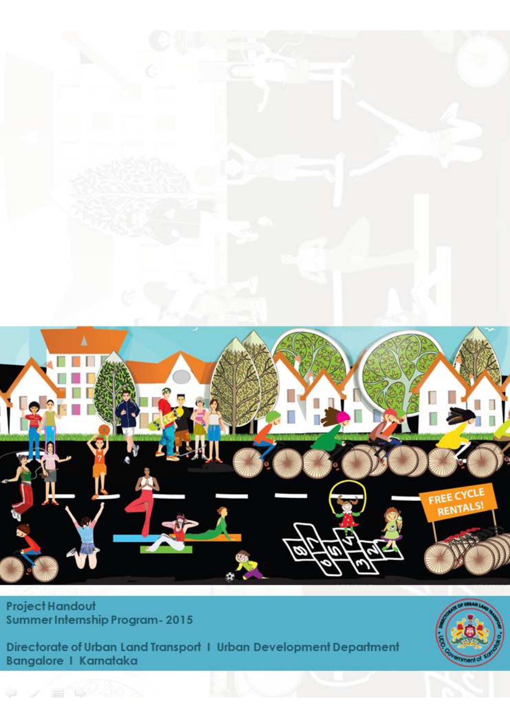

**Project Handout** Summer Internship Program - 2015

Directorate of Urban Land Transport 1 Urban Development Department Bangalore | Karnataka

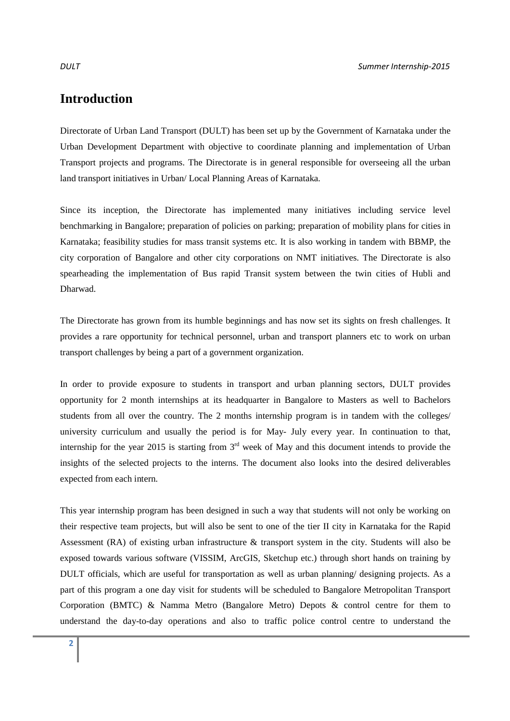## **Introduction**

Directorate of Urban Land Transport (DULT) has been set up by the Government of Karnataka under the Urban Development Department with objective to coordinate planning and implementation of Urban Transport projects and programs. The Directorate is in general responsible for overseeing all the urban land transport initiatives in Urban/ Local Planning Areas of Karnataka.

Since its inception, the Directorate has implemented many initiatives including service level benchmarking in Bangalore; preparation of policies on parking; preparation of mobility plans for cities in Karnataka; feasibility studies for mass transit systems etc. It is also working in tandem with BBMP, the city corporation of Bangalore and other city corporations on NMT initiatives. The Directorate is also spearheading the implementation of Bus rapid Transit system between the twin cities of Hubli and Dharwad.

The Directorate has grown from its humble beginnings and has now set its sights on fresh challenges. It provides a rare opportunity for technical personnel, urban and transport planners etc to work on urban transport challenges by being a part of a government organization.

In order to provide exposure to students in transport and urban planning sectors, DULT provides opportunity for 2 month internships at its headquarter in Bangalore to Masters as well to Bachelors students from all over the country. The 2 months internship program is in tandem with the colleges/ university curriculum and usually the period is for May- July every year. In continuation to that, internship for the year 2015 is starting from  $3<sup>rd</sup>$  week of May and this document intends to provide the insights of the selected projects to the interns. The document also looks into the desired deliverables expected from each intern.

This year internship program has been designed in such a way that students will not only be working on their respective team projects, but will also be sent to one of the tier II city in Karnataka for the Rapid Assessment (RA) of existing urban infrastructure & transport system in the city. Students will also be exposed towards various software (VISSIM, ArcGIS, Sketchup etc.) through short hands on training by DULT officials, which are useful for transportation as well as urban planning/ designing projects. As a part of this program a one day visit for students will be scheduled to Bangalore Metropolitan Transport Corporation (BMTC) & Namma Metro (Bangalore Metro) Depots & control centre for them to understand the day-to-day operations and also to traffic police control centre to understand the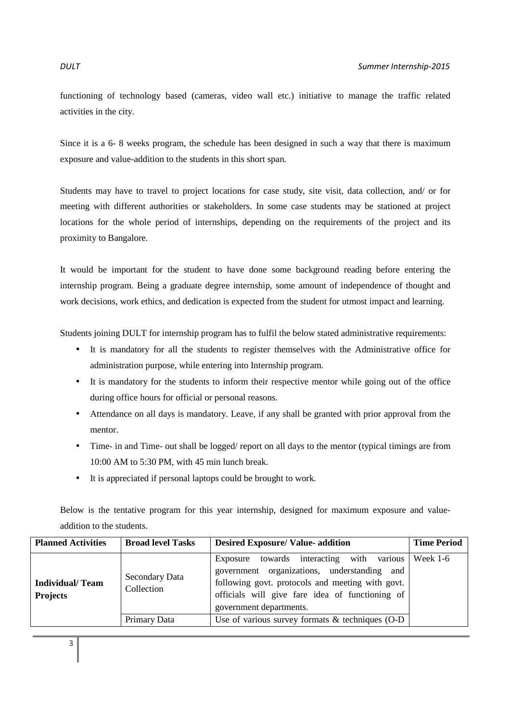functioning of technology based (cameras, video wall etc.) initiative to manage the traffic related activities in the city.

Since it is a 6- 8 weeks program, the schedule has been designed in such a way that there is maximum exposure and value-addition to the students in this short span.

Students may have to travel to project locations for case study, site visit, data collection, and/ or for meeting with different authorities or stakeholders. In some case students may be stationed at project locations for the whole period of internships, depending on the requirements of the project and its proximity to Bangalore.

It would be important for the student to have done some background reading before entering the internship program. Being a graduate degree internship, some amount of independence of thought and work decisions, work ethics, and dedication is expected from the student for utmost impact and learning.

Students joining DULT for internship program has to fulfil the below stated administrative requirements:

- It is mandatory for all the students to register themselves with the Administrative office for administration purpose, while entering into Internship program.
- It is mandatory for the students to inform their respective mentor while going out of the office during office hours for official or personal reasons.
- Attendance on all days is mandatory. Leave, if any shall be granted with prior approval from the mentor.
- Time- in and Time- out shall be logged/ report on all days to the mentor (typical timings are from 10:00 AM to 5:30 PM, with 45 min lunch break.
- It is appreciated if personal laptops could be brought to work.

Below is the tentative program for this year internship, designed for maximum exposure and valueaddition to the students.

| <b>Planned Activities</b>                 | <b>Broad level Tasks</b>     | <b>Desired Exposure/ Value- addition</b>                                                                                                                                                                                               | <b>Time Period</b> |
|-------------------------------------------|------------------------------|----------------------------------------------------------------------------------------------------------------------------------------------------------------------------------------------------------------------------------------|--------------------|
| <b>Individual/Team</b><br><b>Projects</b> | Secondary Data<br>Collection | interacting with various Week 1-6<br>Exposure towards<br>government organizations, understanding and<br>following govt. protocols and meeting with govt.<br>officials will give fare idea of functioning of<br>government departments. |                    |
|                                           | Primary Data                 | Use of various survey formats $&$ techniques (O-D                                                                                                                                                                                      |                    |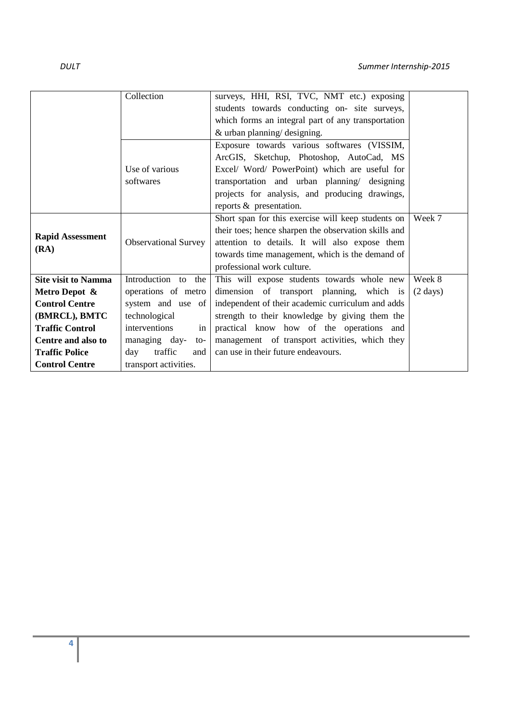|                            | Collection                               | surveys, HHI, RSI, TVC, NMT etc.) exposing           |                    |
|----------------------------|------------------------------------------|------------------------------------------------------|--------------------|
|                            |                                          | students towards conducting on- site surveys,        |                    |
|                            |                                          | which forms an integral part of any transportation   |                    |
|                            |                                          | & urban planning/ designing.                         |                    |
|                            |                                          | Exposure towards various softwares (VISSIM,          |                    |
|                            |                                          | ArcGIS, Sketchup, Photoshop, AutoCad, MS             |                    |
|                            | Use of various                           | Excel/ Word/ PowerPoint) which are useful for        |                    |
|                            | softwares                                | transportation and urban planning/ designing         |                    |
|                            |                                          | projects for analysis, and producing drawings,       |                    |
|                            |                                          | reports & presentation.                              |                    |
|                            |                                          | Short span for this exercise will keep students on   | Week 7             |
|                            |                                          | their toes; hence sharpen the observation skills and |                    |
| <b>Rapid Assessment</b>    | <b>Observational Survey</b>              | attention to details. It will also expose them       |                    |
| (RA)                       |                                          | towards time management, which is the demand of      |                    |
|                            |                                          | professional work culture.                           |                    |
| <b>Site visit to Namma</b> | Introduction to the                      | This will expose students towards whole new          | Week 8             |
| Metro Depot &              | operations of metro                      | dimension of transport planning, which is            | $(2 \text{ days})$ |
| <b>Control Centre</b>      | system and use of                        | independent of their academic curriculum and adds    |                    |
| (BMRCL), BMTC              | technological                            | strength to their knowledge by giving them the       |                    |
| <b>Traffic Control</b>     | interventions<br>in <sub>1</sub>         | practical know how of the operations and             |                    |
| Centre and also to         | managing day-<br>$\mathsf{to}\mathsf{-}$ | management of transport activities, which they       |                    |
| <b>Traffic Police</b>      | traffic<br>day<br>and 1                  | can use in their future endeavours.                  |                    |
| <b>Control Centre</b>      | transport activities.                    |                                                      |                    |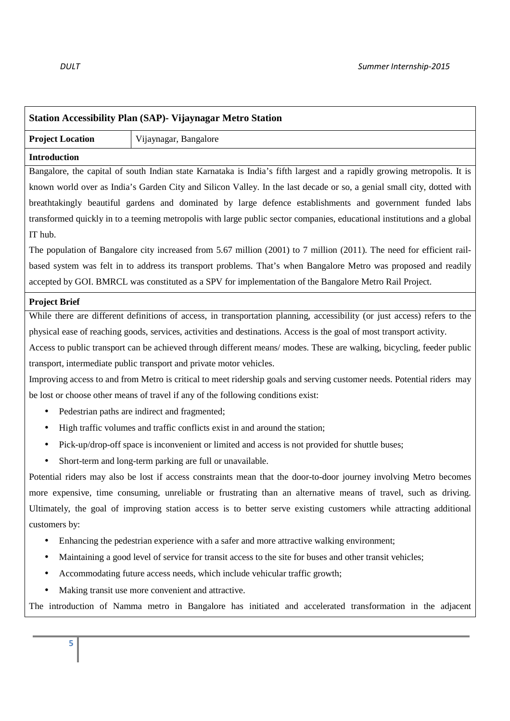| <b>Station Accessibility Plan (SAP)- Vijaynagar Metro Station</b>                                             |                                                                                                                           |  |
|---------------------------------------------------------------------------------------------------------------|---------------------------------------------------------------------------------------------------------------------------|--|
| <b>Project Location</b>                                                                                       | Vijaynagar, Bangalore                                                                                                     |  |
| <b>Introduction</b>                                                                                           |                                                                                                                           |  |
|                                                                                                               | Bangalore, the capital of south Indian state Karnataka is India's fifth largest and a rapidly growing metropolis. It is   |  |
|                                                                                                               | known world over as India's Garden City and Silicon Valley. In the last decade or so, a genial small city, dotted with    |  |
|                                                                                                               | breathtakingly beautiful gardens and dominated by large defence establishments and government funded labs                 |  |
|                                                                                                               | transformed quickly in to a teeming metropolis with large public sector companies, educational institutions and a global  |  |
| IT hub.                                                                                                       |                                                                                                                           |  |
|                                                                                                               | The population of Bangalore city increased from 5.67 million (2001) to 7 million (2011). The need for efficient rail-     |  |
|                                                                                                               | based system was felt in to address its transport problems. That's when Bangalore Metro was proposed and readily          |  |
|                                                                                                               | accepted by GOI. BMRCL was constituted as a SPV for implementation of the Bangalore Metro Rail Project.                   |  |
| <b>Project Brief</b>                                                                                          |                                                                                                                           |  |
|                                                                                                               | While there are different definitions of access, in transportation planning, accessibility (or just access) refers to the |  |
|                                                                                                               | physical ease of reaching goods, services, activities and destinations. Access is the goal of most transport activity.    |  |
|                                                                                                               | Access to public transport can be achieved through different means/ modes. These are walking, bicycling, feeder public    |  |
|                                                                                                               | transport, intermediate public transport and private motor vehicles.                                                      |  |
|                                                                                                               | Improving access to and from Metro is critical to meet ridership goals and serving customer needs. Potential riders may   |  |
|                                                                                                               | be lost or choose other means of travel if any of the following conditions exist:                                         |  |
| ٠                                                                                                             | Pedestrian paths are indirect and fragmented;                                                                             |  |
| $\bullet$                                                                                                     | High traffic volumes and traffic conflicts exist in and around the station;                                               |  |
|                                                                                                               | Pick-up/drop-off space is inconvenient or limited and access is not provided for shuttle buses;                           |  |
| $\bullet$                                                                                                     | Short-term and long-term parking are full or unavailable.                                                                 |  |
|                                                                                                               | Potential riders may also be lost if access constraints mean that the door-to-door journey involving Metro becomes        |  |
|                                                                                                               | more expensive, time consuming, unreliable or frustrating than an alternative means of travel, such as driving.           |  |
|                                                                                                               | Ultimately, the goal of improving station access is to better serve existing customers while attracting additional        |  |
| customers by:                                                                                                 |                                                                                                                           |  |
| Enhancing the pedestrian experience with a safer and more attractive walking environment;                     |                                                                                                                           |  |
| Maintaining a good level of service for transit access to the site for buses and other transit vehicles;<br>٠ |                                                                                                                           |  |
| Accommodating future access needs, which include vehicular traffic growth;                                    |                                                                                                                           |  |
| $\bullet$                                                                                                     | Making transit use more convenient and attractive.                                                                        |  |
|                                                                                                               | The introduction of Namma metro in Bangalore has initiated and accelerated transformation in the adjacent                 |  |
|                                                                                                               |                                                                                                                           |  |
| 5                                                                                                             |                                                                                                                           |  |
|                                                                                                               |                                                                                                                           |  |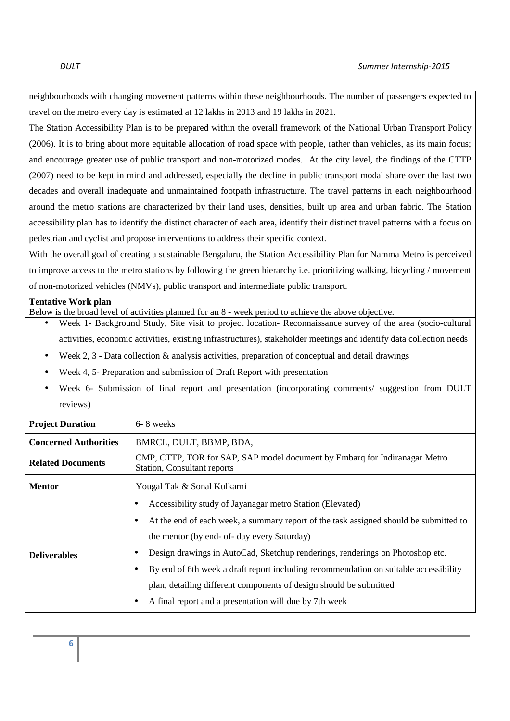neighbourhoods with changing movement patterns within these neighbourhoods. The number of passengers expected to travel on the metro every day is estimated at 12 lakhs in 2013 and 19 lakhs in 2021.

The Station Accessibility Plan is to be prepared within the overall framework of the National Urban Transport Policy (2006). It is to bring about more equitable allocation of road space with people, rather than vehicles, as its main focus; and encourage greater use of public transport and non-motorized modes. At the city level, the findings of the CTTP (2007) need to be kept in mind and addressed, especially the decline in public transport modal share over the last two decades and overall inadequate and unmaintained footpath infrastructure. The travel patterns in each neighbourhood around the metro stations are characterized by their land uses, densities, built up area and urban fabric. The Station accessibility plan has to identify the distinct character of each area, identify their distinct travel patterns with a focus on pedestrian and cyclist and propose interventions to address their specific context.

With the overall goal of creating a sustainable Bengaluru, the Station Accessibility Plan for Namma Metro is perceived to improve access to the metro stations by following the green hierarchy i.e. prioritizing walking, bicycling / movement of non-motorized vehicles (NMVs), public transport and intermediate public transport.

### **Tentative Work plan**

Below is the broad level of activities planned for an 8 - week period to achieve the above objective.

- Week 1- Background Study, Site visit to project location- Reconnaissance survey of the area (socio-cultural activities, economic activities, existing infrastructures), stakeholder meetings and identify data collection needs
- Week 2, 3 Data collection  $\&$  analysis activities, preparation of conceptual and detail drawings
- Week 4, 5- Preparation and submission of Draft Report with presentation
- Week 6- Submission of final report and presentation (incorporating comments/ suggestion from DULT reviews)

| <b>Project Duration</b>      | 6-8 weeks                                                                                                                                                                                                                                                                                                                                                                                                                                                                                                  |  |
|------------------------------|------------------------------------------------------------------------------------------------------------------------------------------------------------------------------------------------------------------------------------------------------------------------------------------------------------------------------------------------------------------------------------------------------------------------------------------------------------------------------------------------------------|--|
| <b>Concerned Authorities</b> | BMRCL, DULT, BBMP, BDA,                                                                                                                                                                                                                                                                                                                                                                                                                                                                                    |  |
| <b>Related Documents</b>     | CMP, CTTP, TOR for SAP, SAP model document by Embarg for Indiranagar Metro<br><b>Station, Consultant reports</b>                                                                                                                                                                                                                                                                                                                                                                                           |  |
| <b>Mentor</b>                | Yougal Tak & Sonal Kulkarni                                                                                                                                                                                                                                                                                                                                                                                                                                                                                |  |
| <b>Deliverables</b>          | Accessibility study of Jayanagar metro Station (Elevated)<br>At the end of each week, a summary report of the task assigned should be submitted to<br>the mentor (by end- of- day every Saturday)<br>Design drawings in AutoCad, Sketchup renderings, renderings on Photoshop etc.<br>By end of 6th week a draft report including recommendation on suitable accessibility<br>plan, detailing different components of design should be submitted<br>A final report and a presentation will due by 7th week |  |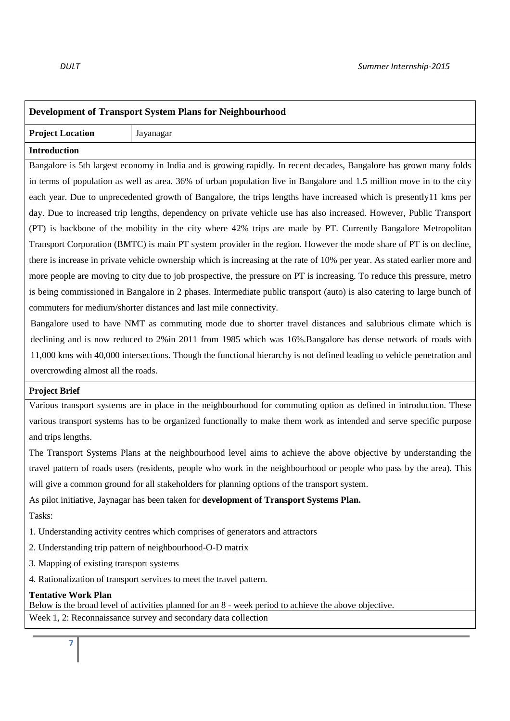| Development of Transport System Plans for Neighbourhood                                                                 |                                                                                                                            |  |
|-------------------------------------------------------------------------------------------------------------------------|----------------------------------------------------------------------------------------------------------------------------|--|
| <b>Project Location</b>                                                                                                 | Jayanagar                                                                                                                  |  |
| <b>Introduction</b>                                                                                                     |                                                                                                                            |  |
|                                                                                                                         | Bangalore is 5th largest economy in India and is growing rapidly. In recent decades, Bangalore has grown many folds        |  |
|                                                                                                                         | in terms of population as well as area. 36% of urban population live in Bangalore and 1.5 million move in to the city      |  |
|                                                                                                                         | each year. Due to unprecedented growth of Bangalore, the trips lengths have increased which is presently11 kms per         |  |
|                                                                                                                         | day. Due to increased trip lengths, dependency on private vehicle use has also increased. However, Public Transport        |  |
|                                                                                                                         | (PT) is backbone of the mobility in the city where 42% trips are made by PT. Currently Bangalore Metropolitan              |  |
|                                                                                                                         | Transport Corporation (BMTC) is main PT system provider in the region. However the mode share of PT is on decline,         |  |
|                                                                                                                         | there is increase in private vehicle ownership which is increasing at the rate of 10% per year. As stated earlier more and |  |
|                                                                                                                         | more people are moving to city due to job prospective, the pressure on PT is increasing. To reduce this pressure, metro    |  |
|                                                                                                                         | is being commissioned in Bangalore in 2 phases. Intermediate public transport (auto) is also catering to large bunch of    |  |
| commuters for medium/shorter distances and last mile connectivity.                                                      |                                                                                                                            |  |
|                                                                                                                         | Bangalore used to have NMT as commuting mode due to shorter travel distances and salubrious climate which is               |  |
|                                                                                                                         | declining and is now reduced to 2% in 2011 from 1985 which was 16%. Bangalore has dense network of roads with              |  |
| 11,000 kms with 40,000 intersections. Though the functional hierarchy is not defined leading to vehicle penetration and |                                                                                                                            |  |
| overcrowding almost all the roads.                                                                                      |                                                                                                                            |  |
| <b>Project Brief</b>                                                                                                    |                                                                                                                            |  |
|                                                                                                                         | Various transport systems are in place in the neighbourhood for commuting option as defined in introduction. These         |  |
|                                                                                                                         | various transport systems has to be organized functionally to make them work as intended and serve specific purpose        |  |
| and trips lengths.                                                                                                      |                                                                                                                            |  |
|                                                                                                                         | The Transport Systems Plans at the neighbourhood level aims to achieve the above objective by understanding the            |  |
|                                                                                                                         | travel pattern of roads users (residents, people who work in the neighbourhood or people who pass by the area). This       |  |
|                                                                                                                         | will give a common ground for all stakeholders for planning options of the transport system.                               |  |
| As pilot initiative, Jaynagar has been taken for development of Transport Systems Plan.                                 |                                                                                                                            |  |
| Tasks:                                                                                                                  |                                                                                                                            |  |
|                                                                                                                         | 1. Understanding activity centres which comprises of generators and attractors                                             |  |
|                                                                                                                         | 2. Understanding trip pattern of neighbourhood-O-D matrix                                                                  |  |
| 3. Mapping of existing transport systems                                                                                |                                                                                                                            |  |
| 4. Rationalization of transport services to meet the travel pattern.                                                    |                                                                                                                            |  |
| <b>Tentative Work Plan</b>                                                                                              |                                                                                                                            |  |

Below is the broad level of activities planned for an 8 - week period to achieve the above objective.

Week 1, 2: Reconnaissance survey and secondary data collection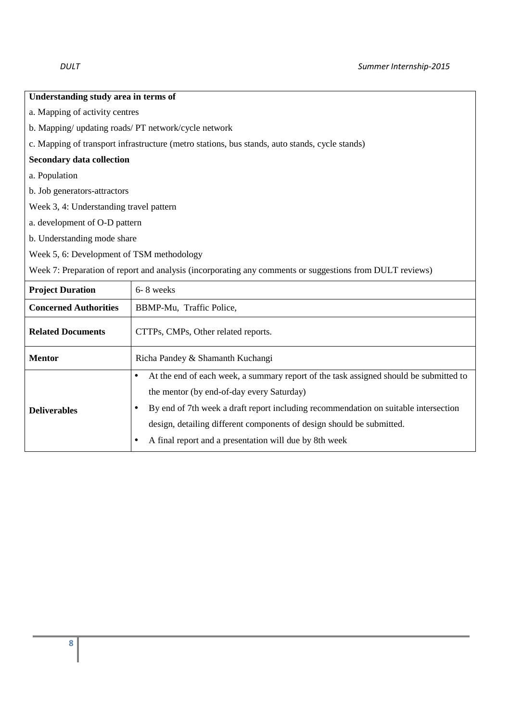| Understanding study area in terms of                                                           |  |
|------------------------------------------------------------------------------------------------|--|
| a. Mapping of activity centres                                                                 |  |
| b. Mapping/ updating roads/ PT network/cycle network                                           |  |
| c. Mapping of transport infrastructure (metro stations, bus stands, auto stands, cycle stands) |  |
| <b>Secondary data collection</b>                                                               |  |
| a. Population                                                                                  |  |
| b. Job generators-attractors                                                                   |  |
| Week 3, 4: Understanding travel pattern                                                        |  |
| a. development of O-D pattern                                                                  |  |
| b. Understanding mode share                                                                    |  |
|                                                                                                |  |

Week 5, 6: Development of TSM methodology

Week 7: Preparation of report and analysis (incorporating any comments or suggestions from DULT reviews)

| <b>Project Duration</b>      | 6-8 weeks                                                                                                                                                                                                                                                                                                                                                                 |  |
|------------------------------|---------------------------------------------------------------------------------------------------------------------------------------------------------------------------------------------------------------------------------------------------------------------------------------------------------------------------------------------------------------------------|--|
| <b>Concerned Authorities</b> | BBMP-Mu, Traffic Police,                                                                                                                                                                                                                                                                                                                                                  |  |
| <b>Related Documents</b>     | CTTPs, CMPs, Other related reports.                                                                                                                                                                                                                                                                                                                                       |  |
| <b>Mentor</b>                | Richa Pandey & Shamanth Kuchangi                                                                                                                                                                                                                                                                                                                                          |  |
| <b>Deliverables</b>          | At the end of each week, a summary report of the task assigned should be submitted to<br>$\bullet$<br>the mentor (by end-of-day every Saturday)<br>By end of 7th week a draft report including recommendation on suitable intersection<br>design, detailing different components of design should be submitted.<br>A final report and a presentation will due by 8th week |  |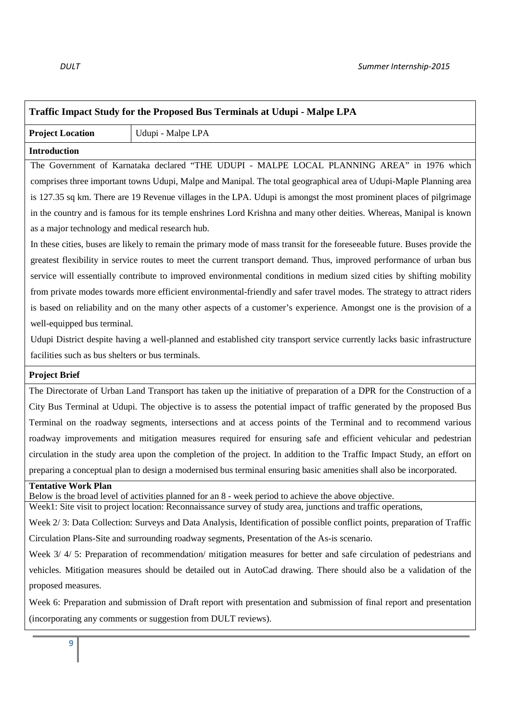| <b>Traffic Impact Study for the Proposed Bus Terminals at Udupi - Malpe LPA</b>                                      |                                                                                                                                                                                                                        |  |
|----------------------------------------------------------------------------------------------------------------------|------------------------------------------------------------------------------------------------------------------------------------------------------------------------------------------------------------------------|--|
| <b>Project Location</b>                                                                                              | Udupi - Malpe LPA                                                                                                                                                                                                      |  |
| <b>Introduction</b>                                                                                                  |                                                                                                                                                                                                                        |  |
|                                                                                                                      | The Government of Karnataka declared "THE UDUPI - MALPE LOCAL PLANNING AREA" in 1976 which                                                                                                                             |  |
|                                                                                                                      | comprises three important towns Udupi, Malpe and Manipal. The total geographical area of Udupi-Maple Planning area                                                                                                     |  |
|                                                                                                                      | is 127.35 sq km. There are 19 Revenue villages in the LPA. Udupi is amongst the most prominent places of pilgrimage                                                                                                    |  |
|                                                                                                                      | in the country and is famous for its temple enshrines Lord Krishna and many other deities. Whereas, Manipal is known                                                                                                   |  |
| as a major technology and medical research hub.                                                                      |                                                                                                                                                                                                                        |  |
|                                                                                                                      | In these cities, buses are likely to remain the primary mode of mass transit for the foreseeable future. Buses provide the                                                                                             |  |
|                                                                                                                      | greatest flexibility in service routes to meet the current transport demand. Thus, improved performance of urban bus                                                                                                   |  |
|                                                                                                                      | service will essentially contribute to improved environmental conditions in medium sized cities by shifting mobility                                                                                                   |  |
|                                                                                                                      | from private modes towards more efficient environmental-friendly and safer travel modes. The strategy to attract riders                                                                                                |  |
|                                                                                                                      | is based on reliability and on the many other aspects of a customer's experience. Amongst one is the provision of a                                                                                                    |  |
| well-equipped bus terminal.                                                                                          |                                                                                                                                                                                                                        |  |
|                                                                                                                      | Udupi District despite having a well-planned and established city transport service currently lacks basic infrastructure                                                                                               |  |
| facilities such as bus shelters or bus terminals.                                                                    |                                                                                                                                                                                                                        |  |
| <b>Project Brief</b>                                                                                                 |                                                                                                                                                                                                                        |  |
|                                                                                                                      | The Directorate of Urban Land Transport has taken up the initiative of preparation of a DPR for the Construction of a                                                                                                  |  |
| City Bus Terminal at Udupi. The objective is to assess the potential impact of traffic generated by the proposed Bus |                                                                                                                                                                                                                        |  |
| Terminal on the roadway segments, intersections and at access points of the Terminal and to recommend various        |                                                                                                                                                                                                                        |  |
|                                                                                                                      | roadway improvements and mitigation measures required for ensuring safe and efficient vehicular and pedestrian                                                                                                         |  |
|                                                                                                                      | circulation in the study area upon the completion of the project. In addition to the Traffic Impact Study, an effort on                                                                                                |  |
| preparing a conceptual plan to design a modernised bus terminal ensuring basic amenities shall also be incorporated. |                                                                                                                                                                                                                        |  |
| <b>Tentative Work Plan</b>                                                                                           |                                                                                                                                                                                                                        |  |
|                                                                                                                      | Below is the broad level of activities planned for an 8 - week period to achieve the above objective.<br>Week1: Site visit to project location: Reconnaissance survey of study area, junctions and traffic operations, |  |
|                                                                                                                      | Week 2/3: Data Collection: Surveys and Data Analysis, Identification of possible conflict points, preparation of Traffic                                                                                               |  |
| Circulation Plans-Site and surrounding roadway segments, Presentation of the As-is scenario.                         |                                                                                                                                                                                                                        |  |
| Week 3/4/5: Preparation of recommendation/mitigation measures for better and safe circulation of pedestrians and     |                                                                                                                                                                                                                        |  |
| vehicles. Mitigation measures should be detailed out in AutoCad drawing. There should also be a validation of the    |                                                                                                                                                                                                                        |  |
| proposed measures.                                                                                                   |                                                                                                                                                                                                                        |  |
| Week 6: Preparation and submission of Draft report with presentation and submission of final report and presentation |                                                                                                                                                                                                                        |  |
| (incorporating any comments or suggestion from DULT reviews).                                                        |                                                                                                                                                                                                                        |  |
| 9                                                                                                                    |                                                                                                                                                                                                                        |  |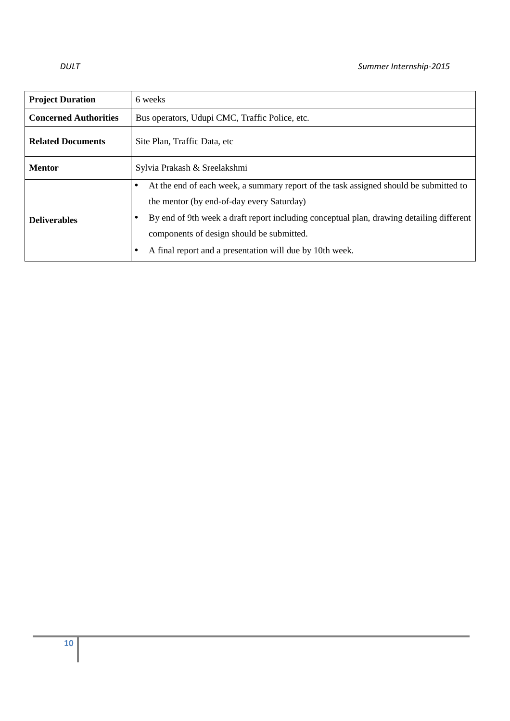| <b>Project Duration</b>      | 6 weeks                                                                                                                                                                                                                                                                                                                                      |  |
|------------------------------|----------------------------------------------------------------------------------------------------------------------------------------------------------------------------------------------------------------------------------------------------------------------------------------------------------------------------------------------|--|
| <b>Concerned Authorities</b> | Bus operators, Udupi CMC, Traffic Police, etc.                                                                                                                                                                                                                                                                                               |  |
| <b>Related Documents</b>     | Site Plan, Traffic Data, etc.                                                                                                                                                                                                                                                                                                                |  |
| <b>Mentor</b>                | Sylvia Prakash & Sreelakshmi                                                                                                                                                                                                                                                                                                                 |  |
| <b>Deliverables</b>          | At the end of each week, a summary report of the task assigned should be submitted to<br>٠<br>the mentor (by end-of-day every Saturday)<br>By end of 9th week a draft report including conceptual plan, drawing detailing different<br>components of design should be submitted.<br>A final report and a presentation will due by 10th week. |  |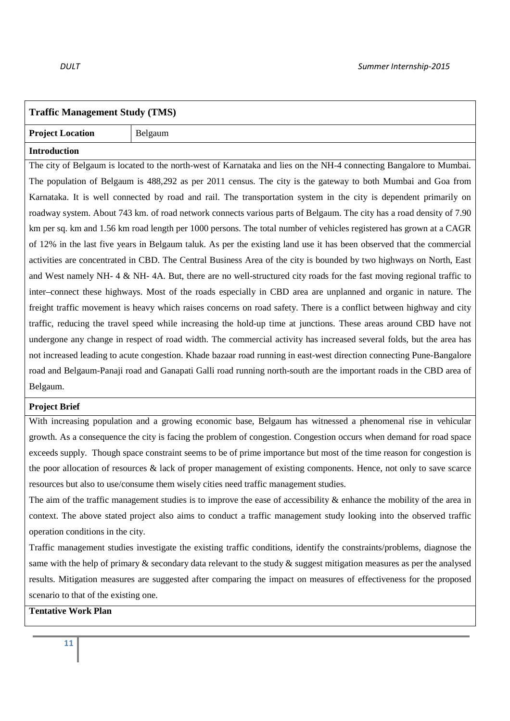| <b>Traffic Management Study (TMS)</b>                                                                                |                                                                                                                       |  |
|----------------------------------------------------------------------------------------------------------------------|-----------------------------------------------------------------------------------------------------------------------|--|
| <b>Project Location</b>                                                                                              | Belgaum                                                                                                               |  |
| <b>Introduction</b>                                                                                                  |                                                                                                                       |  |
|                                                                                                                      | The city of Belgaum is located to the north-west of Karnataka and lies on the NH-4 connecting Bangalore to Mumbai.    |  |
|                                                                                                                      | The population of Belgaum is 488,292 as per 2011 census. The city is the gateway to both Mumbai and Goa from          |  |
|                                                                                                                      | Karnataka. It is well connected by road and rail. The transportation system in the city is dependent primarily on     |  |
|                                                                                                                      | roadway system. About 743 km. of road network connects various parts of Belgaum. The city has a road density of 7.90  |  |
|                                                                                                                      | km per sq. km and 1.56 km road length per 1000 persons. The total number of vehicles registered has grown at a CAGR   |  |
|                                                                                                                      | of 12% in the last five years in Belgaum taluk. As per the existing land use it has been observed that the commercial |  |
| activities are concentrated in CBD. The Central Business Area of the city is bounded by two highways on North, East  |                                                                                                                       |  |
| and West namely NH- 4 & NH- 4A. But, there are no well-structured city roads for the fast moving regional traffic to |                                                                                                                       |  |
| inter-connect these highways. Most of the roads especially in CBD area are unplanned and organic in nature. The      |                                                                                                                       |  |
| freight traffic movement is heavy which raises concerns on road safety. There is a conflict between highway and city |                                                                                                                       |  |
| traffic, reducing the travel speed while increasing the hold-up time at junctions. These areas around CBD have not   |                                                                                                                       |  |
|                                                                                                                      | undergone any change in respect of road width. The commercial activity has increased several folds, but the area has  |  |
|                                                                                                                      | not increased leading to acute congestion. Khade bazaar road running in east-west direction connecting Pune-Bangalore |  |
| road and Belgaum-Panaji road and Ganapati Galli road running north-south are the important roads in the CBD area of  |                                                                                                                       |  |
| Belgaum.                                                                                                             |                                                                                                                       |  |

### **Project Brief**

With increasing population and a growing economic base, Belgaum has witnessed a phenomenal rise in vehicular growth. As a consequence the city is facing the problem of congestion. Congestion occurs when demand for road space exceeds supply. Though space constraint seems to be of prime importance but most of the time reason for congestion is the poor allocation of resources & lack of proper management of existing components. Hence, not only to save scarce resources but also to use/consume them wisely cities need traffic management studies.

The aim of the traffic management studies is to improve the ease of accessibility & enhance the mobility of the area in context. The above stated project also aims to conduct a traffic management study looking into the observed traffic operation conditions in the city.

Traffic management studies investigate the existing traffic conditions, identify the constraints/problems, diagnose the same with the help of primary  $\&$  secondary data relevant to the study  $\&$  suggest mitigation measures as per the analysed results. Mitigation measures are suggested after comparing the impact on measures of effectiveness for the proposed scenario to that of the existing one.

**Tentative Work Plan**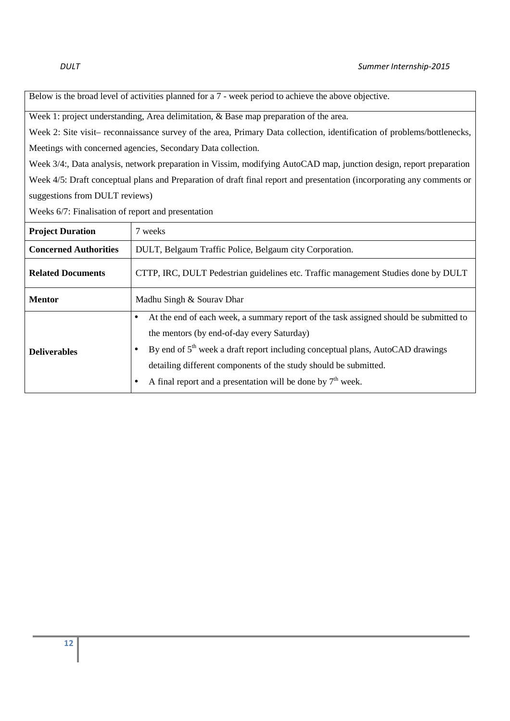Below is the broad level of activities planned for a 7 - week period to achieve the above objective.

Week 1: project understanding, Area delimitation, & Base map preparation of the area.

Week 2: Site visit– reconnaissance survey of the area, Primary Data collection, identification of problems/bottlenecks, Meetings with concerned agencies, Secondary Data collection.

Week 3/4:, Data analysis, network preparation in Vissim, modifying AutoCAD map, junction design, report preparation Week 4/5: Draft conceptual plans and Preparation of draft final report and presentation (incorporating any comments or suggestions from DULT reviews)

Weeks 6/7: Finalisation of report and presentation

| <b>Project Duration</b>      | 7 weeks                                                                                                                                                                                                                                                                                                                                                                                             |  |
|------------------------------|-----------------------------------------------------------------------------------------------------------------------------------------------------------------------------------------------------------------------------------------------------------------------------------------------------------------------------------------------------------------------------------------------------|--|
| <b>Concerned Authorities</b> | DULT, Belgaum Traffic Police, Belgaum city Corporation.                                                                                                                                                                                                                                                                                                                                             |  |
| <b>Related Documents</b>     | CTTP, IRC, DULT Pedestrian guidelines etc. Traffic management Studies done by DULT                                                                                                                                                                                                                                                                                                                  |  |
| <b>Mentor</b>                | Madhu Singh & Sourav Dhar                                                                                                                                                                                                                                                                                                                                                                           |  |
| <b>Deliverables</b>          | At the end of each week, a summary report of the task assigned should be submitted to<br>$\bullet$<br>the mentors (by end-of-day every Saturday)<br>By end of $5th$ week a draft report including conceptual plans, AutoCAD drawings<br>$\bullet$<br>detailing different components of the study should be submitted.<br>A final report and a presentation will be done by $7th$ week.<br>$\bullet$ |  |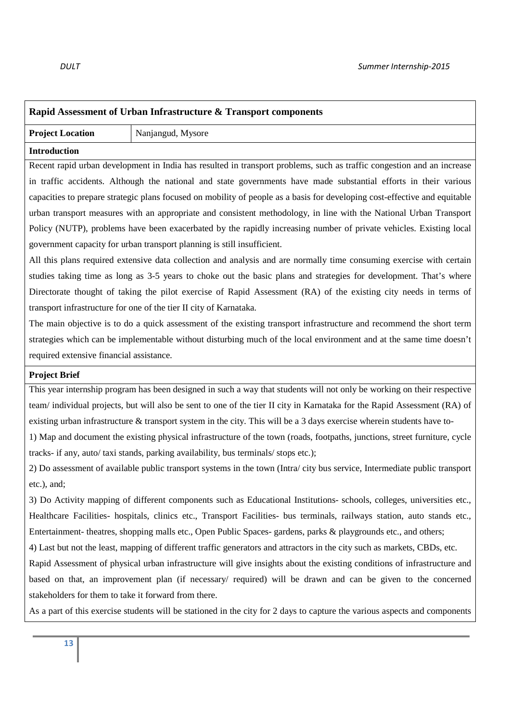# **Rapid Assessment of Urban Infrastructure & Transport components**

# **Project Location** | Nanjangud, Mysore

### **Introduction**

Recent rapid urban development in India has resulted in transport problems, such as traffic congestion and an increase in traffic accidents. Although the national and state governments have made substantial efforts in their various capacities to prepare strategic plans focused on mobility of people as a basis for developing cost-effective and equitable urban transport measures with an appropriate and consistent methodology, in line with the National Urban Transport Policy (NUTP), problems have been exacerbated by the rapidly increasing number of private vehicles. Existing local government capacity for urban transport planning is still insufficient.

All this plans required extensive data collection and analysis and are normally time consuming exercise with certain studies taking time as long as 3-5 years to choke out the basic plans and strategies for development. That's where Directorate thought of taking the pilot exercise of Rapid Assessment (RA) of the existing city needs in terms of transport infrastructure for one of the tier II city of Karnataka.

The main objective is to do a quick assessment of the existing transport infrastructure and recommend the short term strategies which can be implementable without disturbing much of the local environment and at the same time doesn't required extensive financial assistance.

### **Project Brief**

This year internship program has been designed in such a way that students will not only be working on their respective team/ individual projects, but will also be sent to one of the tier II city in Karnataka for the Rapid Assessment (RA) of existing urban infrastructure & transport system in the city. This will be a 3 days exercise wherein students have to-

1) Map and document the existing physical infrastructure of the town (roads, footpaths, junctions, street furniture, cycle tracks- if any, auto/ taxi stands, parking availability, bus terminals/ stops etc.);

2) Do assessment of available public transport systems in the town (Intra/ city bus service, Intermediate public transport etc.), and;

3) Do Activity mapping of different components such as Educational Institutions- schools, colleges, universities etc., Healthcare Facilities- hospitals, clinics etc., Transport Facilities- bus terminals, railways station, auto stands etc., Entertainment- theatres, shopping malls etc., Open Public Spaces- gardens, parks & playgrounds etc., and others;

4) Last but not the least, mapping of different traffic generators and attractors in the city such as markets, CBDs, etc.

Rapid Assessment of physical urban infrastructure will give insights about the existing conditions of infrastructure and based on that, an improvement plan (if necessary/ required) will be drawn and can be given to the concerned stakeholders for them to take it forward from there.

As a part of this exercise students will be stationed in the city for 2 days to capture the various aspects and components